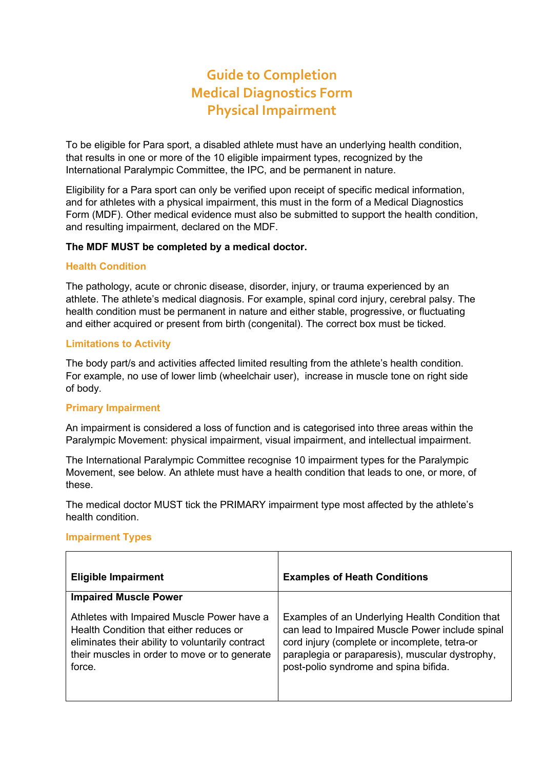# **Guide to Completion Medical Diagnostics Form Physical Impairment**

To be eligible for Para sport, a disabled athlete must have an underlying health condition, that results in one or more of the 10 eligible impairment types, recognized by the International Paralympic Committee, the IPC, and be permanent in nature.

Eligibility for a Para sport can only be verified upon receipt of specific medical information, and for athletes with a physical impairment, this must in the form of a Medical Diagnostics Form (MDF). Other medical evidence must also be submitted to support the health condition, and resulting impairment, declared on the MDF.

## **The MDF MUST be completed by a medical doctor.**

## **Health Condition**

The pathology, acute or chronic disease, disorder, injury, or trauma experienced by an athlete. The athlete's medical diagnosis. For example, spinal cord injury, cerebral palsy. The health condition must be permanent in nature and either stable, progressive, or fluctuating and either acquired or present from birth (congenital). The correct box must be ticked.

## **Limitations to Activity**

The body part/s and activities affected limited resulting from the athlete's health condition. For example, no use of lower limb (wheelchair user), increase in muscle tone on right side of body.

## **Primary Impairment**

An impairment is considered a loss of function and is categorised into three areas within the Paralympic Movement: physical impairment, visual impairment, and intellectual impairment.

The International Paralympic Committee recognise 10 impairment types for the Paralympic Movement, see below. An athlete must have a health condition that leads to one, or more, of these.

The medical doctor MUST tick the PRIMARY impairment type most affected by the athlete's health condition.

## **Impairment Types**

| <b>Eligible Impairment</b>                                                                                                                                                                           | <b>Examples of Heath Conditions</b>                                                                                                                                                                                                              |
|------------------------------------------------------------------------------------------------------------------------------------------------------------------------------------------------------|--------------------------------------------------------------------------------------------------------------------------------------------------------------------------------------------------------------------------------------------------|
| <b>Impaired Muscle Power</b>                                                                                                                                                                         |                                                                                                                                                                                                                                                  |
| Athletes with Impaired Muscle Power have a<br>Health Condition that either reduces or<br>eliminates their ability to voluntarily contract<br>their muscles in order to move or to generate<br>force. | Examples of an Underlying Health Condition that<br>can lead to Impaired Muscle Power include spinal<br>cord injury (complete or incomplete, tetra-or<br>paraplegia or paraparesis), muscular dystrophy,<br>post-polio syndrome and spina bifida. |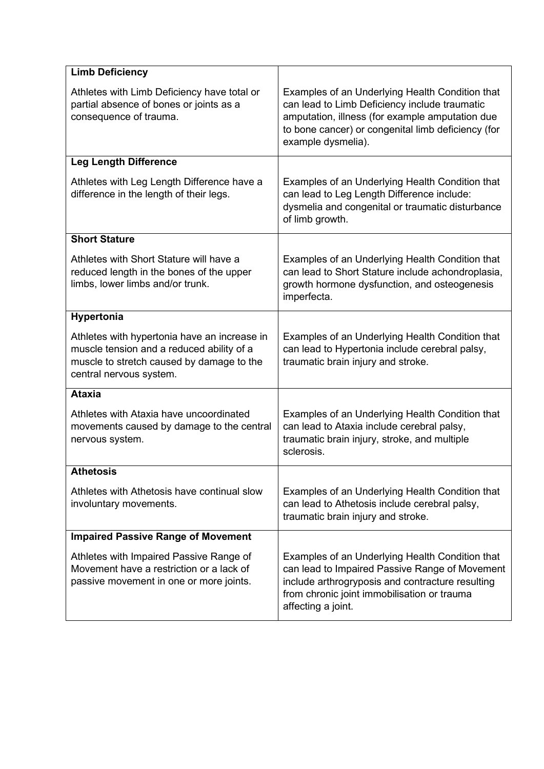| <b>Limb Deficiency</b>                                                                                                                                            |                                                                                                                                                                                                                                 |
|-------------------------------------------------------------------------------------------------------------------------------------------------------------------|---------------------------------------------------------------------------------------------------------------------------------------------------------------------------------------------------------------------------------|
| Athletes with Limb Deficiency have total or<br>partial absence of bones or joints as a<br>consequence of trauma.                                                  | Examples of an Underlying Health Condition that<br>can lead to Limb Deficiency include traumatic<br>amputation, illness (for example amputation due<br>to bone cancer) or congenital limb deficiency (for<br>example dysmelia). |
| <b>Leg Length Difference</b>                                                                                                                                      |                                                                                                                                                                                                                                 |
| Athletes with Leg Length Difference have a<br>difference in the length of their legs.                                                                             | Examples of an Underlying Health Condition that<br>can lead to Leg Length Difference include:<br>dysmelia and congenital or traumatic disturbance<br>of limb growth.                                                            |
| <b>Short Stature</b>                                                                                                                                              |                                                                                                                                                                                                                                 |
| Athletes with Short Stature will have a<br>reduced length in the bones of the upper<br>limbs, lower limbs and/or trunk.                                           | Examples of an Underlying Health Condition that<br>can lead to Short Stature include achondroplasia,<br>growth hormone dysfunction, and osteogenesis<br>imperfecta.                                                             |
| Hypertonia                                                                                                                                                        |                                                                                                                                                                                                                                 |
| Athletes with hypertonia have an increase in<br>muscle tension and a reduced ability of a<br>muscle to stretch caused by damage to the<br>central nervous system. | Examples of an Underlying Health Condition that<br>can lead to Hypertonia include cerebral palsy,<br>traumatic brain injury and stroke.                                                                                         |
| <b>Ataxia</b>                                                                                                                                                     |                                                                                                                                                                                                                                 |
| Athletes with Ataxia have uncoordinated<br>movements caused by damage to the central<br>nervous system.                                                           | Examples of an Underlying Health Condition that<br>can lead to Ataxia include cerebral palsy,<br>traumatic brain injury, stroke, and multiple<br>sclerosis.                                                                     |
| <b>Athetosis</b>                                                                                                                                                  |                                                                                                                                                                                                                                 |
| Athletes with Athetosis have continual slow<br>involuntary movements.                                                                                             | Examples of an Underlying Health Condition that<br>can lead to Athetosis include cerebral palsy,<br>traumatic brain injury and stroke.                                                                                          |
| <b>Impaired Passive Range of Movement</b>                                                                                                                         |                                                                                                                                                                                                                                 |
| Athletes with Impaired Passive Range of<br>Movement have a restriction or a lack of<br>passive movement in one or more joints.                                    | Examples of an Underlying Health Condition that<br>can lead to Impaired Passive Range of Movement<br>include arthrogryposis and contracture resulting<br>from chronic joint immobilisation or trauma<br>affecting a joint.      |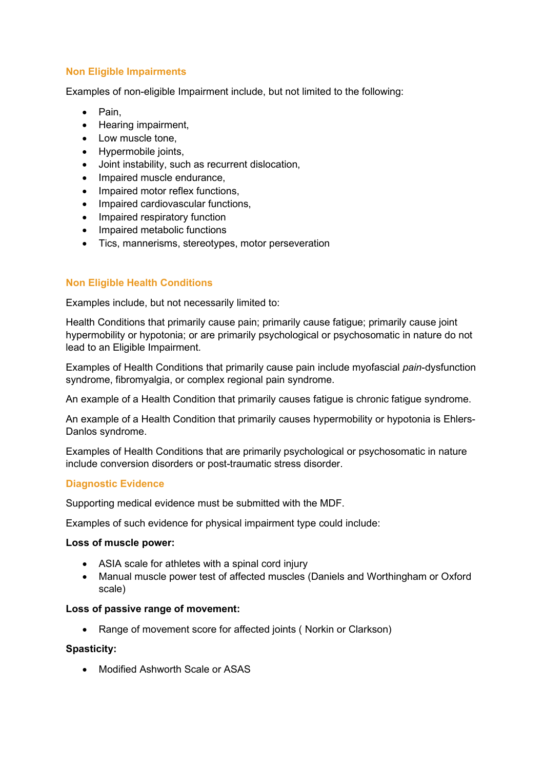## **Non Eligible Impairments**

Examples of non-eligible Impairment include, but not limited to the following:

- Pain,
- Hearing impairment,
- Low muscle tone.
- Hypermobile joints,
- Joint instability, such as recurrent dislocation,
- Impaired muscle endurance,
- Impaired motor reflex functions,
- Impaired cardiovascular functions,
- Impaired respiratory function
- Impaired metabolic functions
- Tics, mannerisms, stereotypes, motor perseveration

## **Non Eligible Health Conditions**

Examples include, but not necessarily limited to:

Health Conditions that primarily cause pain; primarily cause fatigue; primarily cause joint hypermobility or hypotonia; or are primarily psychological or psychosomatic in nature do not lead to an Eligible Impairment.

Examples of Health Conditions that primarily cause pain include myofascial *pain*-dysfunction syndrome, fibromyalgia, or complex regional pain syndrome.

An example of a Health Condition that primarily causes fatigue is chronic fatigue syndrome.

An example of a Health Condition that primarily causes hypermobility or hypotonia is Ehlers-Danlos syndrome.

Examples of Health Conditions that are primarily psychological or psychosomatic in nature include conversion disorders or post-traumatic stress disorder.

## **Diagnostic Evidence**

Supporting medical evidence must be submitted with the MDF.

Examples of such evidence for physical impairment type could include:

#### **Loss of muscle power:**

- ASIA scale for athletes with a spinal cord injury
- Manual muscle power test of affected muscles (Daniels and Worthingham or Oxford scale)

#### **Loss of passive range of movement:**

• Range of movement score for affected joints ( Norkin or Clarkson)

## **Spasticity:**

• Modified Ashworth Scale or ASAS